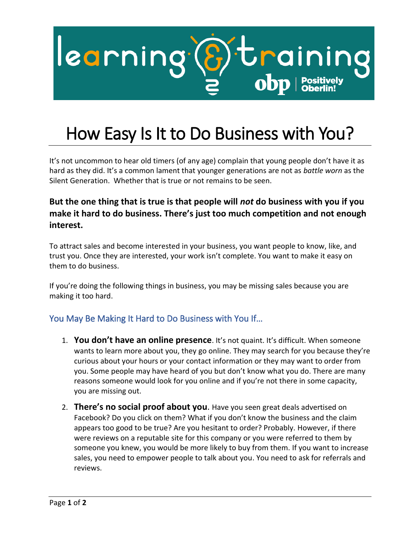

## How Easy Is It to Do Business with You?

It's not uncommon to hear old timers (of any age) complain that young people don't have it as hard as they did. It's a common lament that younger generations are not as *battle worn* as the Silent Generation. Whether that is true or not remains to be seen.

## **But the one thing that is true is that people will** *not* **do business with you if you make it hard to do business. There's just too much competition and not enough interest.**

To attract sales and become interested in your business, you want people to know, like, and trust you. Once they are interested, your work isn't complete. You want to make it easy on them to do business.

If you're doing the following things in business, you may be missing sales because you are making it too hard.

## You May Be Making It Hard to Do Business with You If…

- 1. **You don't have an online presence**. It's not quaint. It's difficult. When someone wants to learn more about you, they go online. They may search for you because they're curious about your hours or your contact information or they may want to order from you. Some people may have heard of you but don't know what you do. There are many reasons someone would look for you online and if you're not there in some capacity, you are missing out.
- 2. **There's no social proof about you**. Have you seen great deals advertised on Facebook? Do you click on them? What if you don't know the business and the claim appears too good to be true? Are you hesitant to order? Probably. However, if there were reviews on a reputable site for this company or you were referred to them by someone you knew, you would be more likely to buy from them. If you want to increase sales, you need to empower people to talk about you. You need to ask for referrals and reviews.